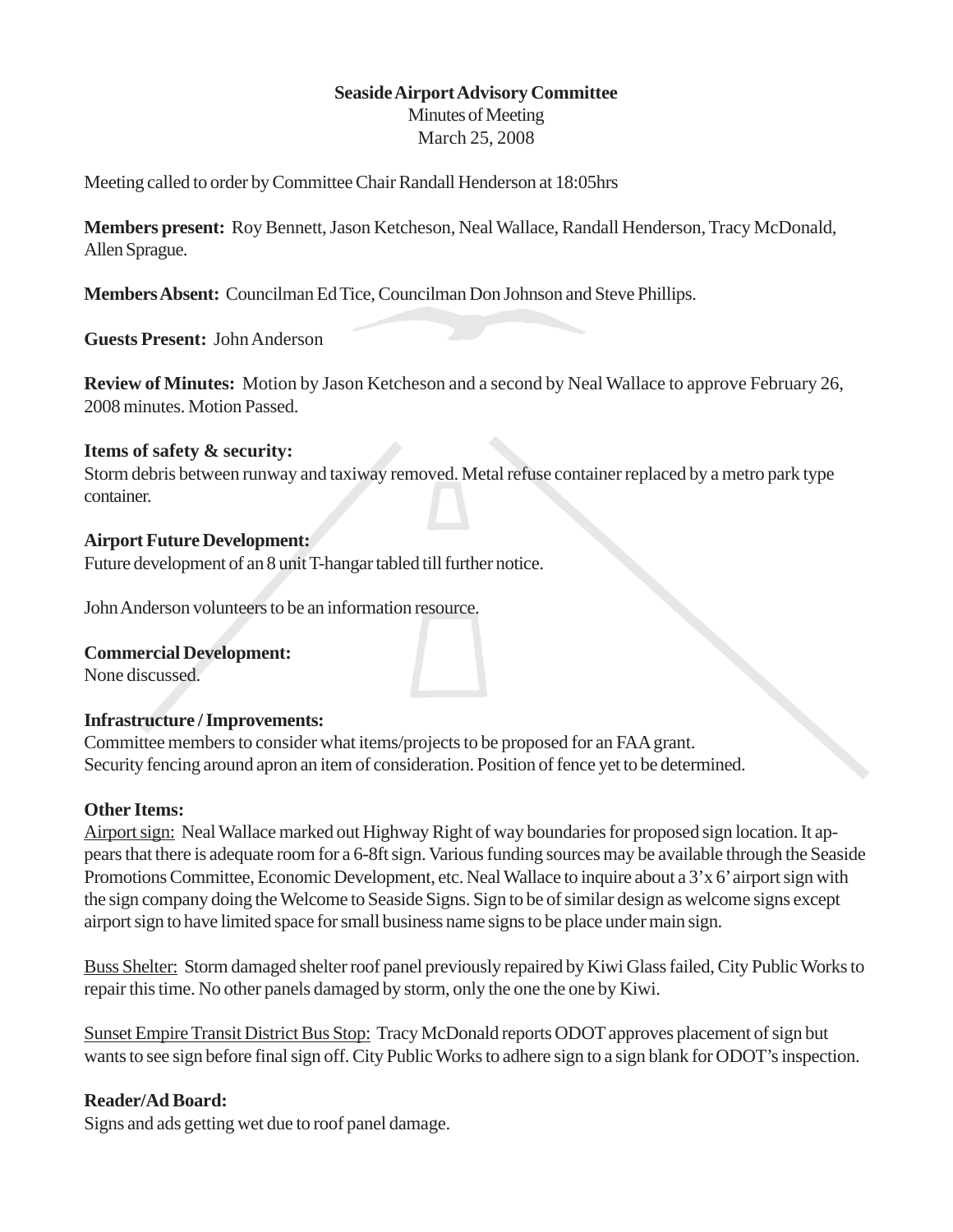### **Seaside Airport Advisory Committee**

Minutes of Meeting March 25, 2008

Meeting called to order by Committee Chair Randall Henderson at 18:05hrs

**Members present:** Roy Bennett, Jason Ketcheson, Neal Wallace, Randall Henderson, Tracy McDonald, Allen Sprague.

**Members Absent:** Councilman Ed Tice, Councilman Don Johnson and Steve Phillips.

**Guests Present:** John Anderson

**Review of Minutes:** Motion by Jason Ketcheson and a second by Neal Wallace to approve February 26, 2008 minutes. Motion Passed.

#### **Items of safety & security:**

Storm debris between runway and taxiway removed. Metal refuse container replaced by a metro park type container.

#### **Airport Future Development:**

Future development of an 8 unit T-hangar tabled till further notice.

John Anderson volunteers to be an information resource.

#### **Commercial Development:**

None discussed.

#### **Infrastructure / Improvements:**

Committee members to consider what items/projects to be proposed for an FAA grant. Security fencing around apron an item of consideration. Position of fence yet to be determined.

#### **Other Items:**

Airport sign: Neal Wallace marked out Highway Right of way boundaries for proposed sign location. It appears that there is adequate room for a 6-8ft sign. Various funding sources may be available through the Seaside Promotions Committee, Economic Development, etc. Neal Wallace to inquire about a 3'x 6' airport sign with the sign company doing the Welcome to Seaside Signs. Sign to be of similar design as welcome signs except airport sign to have limited space for small business name signs to be place under main sign.

Buss Shelter: Storm damaged shelter roof panel previously repaired by Kiwi Glass failed, City Public Works to repair this time. No other panels damaged by storm, only the one the one by Kiwi.

Sunset Empire Transit District Bus Stop: Tracy McDonald reports ODOT approves placement of sign but wants to see sign before final sign off. City Public Works to adhere sign to a sign blank for ODOT's inspection.

#### **Reader/Ad Board:**

Signs and ads getting wet due to roof panel damage.